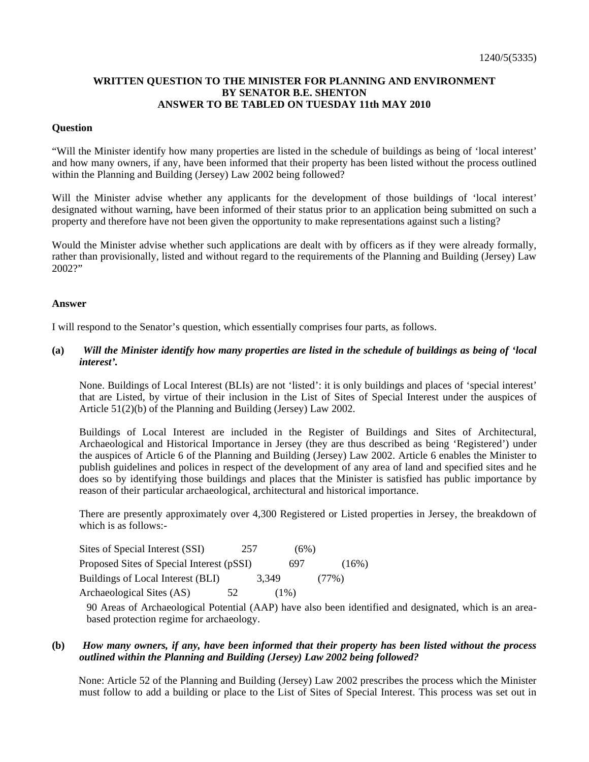# **WRITTEN QUESTION TO THE MINISTER FOR PLANNING AND ENVIRONMENT BY SENATOR B.E. SHENTON ANSWER TO BE TABLED ON TUESDAY 11th MAY 2010**

### **Question**

"Will the Minister identify how many properties are listed in the schedule of buildings as being of 'local interest' and how many owners, if any, have been informed that their property has been listed without the process outlined within the Planning and Building (Jersey) Law 2002 being followed?

Will the Minister advise whether any applicants for the development of those buildings of 'local interest' designated without warning, have been informed of their status prior to an application being submitted on such a property and therefore have not been given the opportunity to make representations against such a listing?

Would the Minister advise whether such applications are dealt with by officers as if they were already formally, rather than provisionally, listed and without regard to the requirements of the Planning and Building (Jersey) Law 2002?"

#### **Answer**

I will respond to the Senator's question, which essentially comprises four parts, as follows.

**(a)** *Will the Minister identify how many properties are listed in the schedule of buildings as being of 'local interest'.*

None. Buildings of Local Interest (BLIs) are not 'listed': it is only buildings and places of 'special interest' that are Listed, by virtue of their inclusion in the List of Sites of Special Interest under the auspices of Article 51(2)(b) of the Planning and Building (Jersey) Law 2002.

Buildings of Local Interest are included in the Register of Buildings and Sites of Architectural, Archaeological and Historical Importance in Jersey (they are thus described as being 'Registered') under the auspices of Article 6 of the Planning and Building (Jersey) Law 2002. Article 6 enables the Minister to publish guidelines and polices in respect of the development of any area of land and specified sites and he does so by identifying those buildings and places that the Minister is satisfied has public importance by reason of their particular archaeological, architectural and historical importance.

There are presently approximately over 4,300 Registered or Listed properties in Jersey, the breakdown of which is as follows:-

| Sites of Special Interest (SSI)           | 257 |         | (6%)     |          |
|-------------------------------------------|-----|---------|----------|----------|
| Proposed Sites of Special Interest (pSSI) |     | 697     |          | $(16\%)$ |
| Buildings of Local Interest (BLI)         |     | 3.349   | $(77\%)$ |          |
| Archaeological Sites (AS)                 | 52  | $(1\%)$ |          |          |

90 Areas of Archaeological Potential (AAP) have also been identified and designated, which is an areabased protection regime for archaeology.

# **(b)** *How many owners, if any, have been informed that their property has been listed without the process outlined within the Planning and Building (Jersey) Law 2002 being followed?*

 None: Article 52 of the Planning and Building (Jersey) Law 2002 prescribes the process which the Minister must follow to add a building or place to the List of Sites of Special Interest. This process was set out in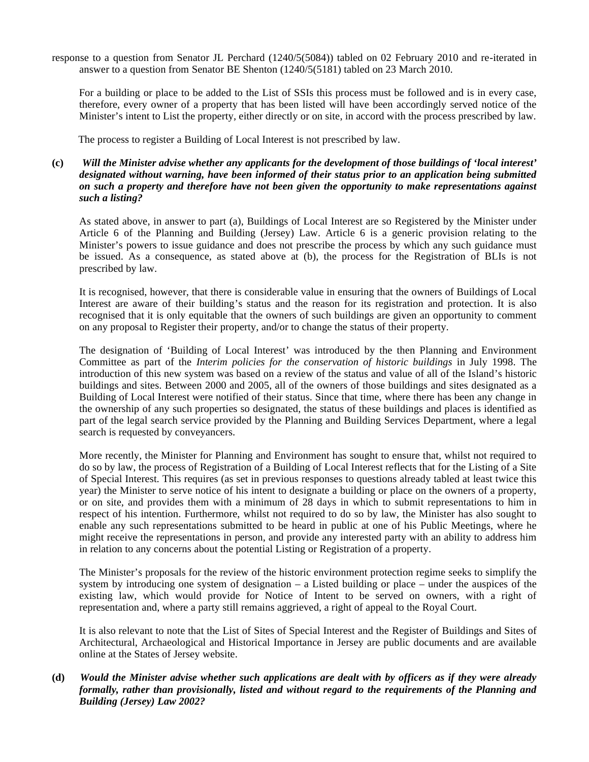response to a question from Senator JL Perchard (1240/5(5084)) tabled on 02 February 2010 and re-iterated in answer to a question from Senator BE Shenton (1240/5(5181) tabled on 23 March 2010.

 For a building or place to be added to the List of SSIs this process must be followed and is in every case, therefore, every owner of a property that has been listed will have been accordingly served notice of the Minister's intent to List the property, either directly or on site, in accord with the process prescribed by law.

The process to register a Building of Local Interest is not prescribed by law.

**(c)** *Will the Minister advise whether any applicants for the development of those buildings of 'local interest' designated without warning, have been informed of their status prior to an application being submitted on such a property and therefore have not been given the opportunity to make representations against such a listing?*

As stated above, in answer to part (a), Buildings of Local Interest are so Registered by the Minister under Article 6 of the Planning and Building (Jersey) Law. Article 6 is a generic provision relating to the Minister's powers to issue guidance and does not prescribe the process by which any such guidance must be issued. As a consequence, as stated above at (b), the process for the Registration of BLIs is not prescribed by law.

It is recognised, however, that there is considerable value in ensuring that the owners of Buildings of Local Interest are aware of their building's status and the reason for its registration and protection. It is also recognised that it is only equitable that the owners of such buildings are given an opportunity to comment on any proposal to Register their property, and/or to change the status of their property.

The designation of 'Building of Local Interest' was introduced by the then Planning and Environment Committee as part of the *Interim policies for the conservation of historic buildings* in July 1998. The introduction of this new system was based on a review of the status and value of all of the Island's historic buildings and sites. Between 2000 and 2005, all of the owners of those buildings and sites designated as a Building of Local Interest were notified of their status. Since that time, where there has been any change in the ownership of any such properties so designated, the status of these buildings and places is identified as part of the legal search service provided by the Planning and Building Services Department, where a legal search is requested by conveyancers.

More recently, the Minister for Planning and Environment has sought to ensure that, whilst not required to do so by law, the process of Registration of a Building of Local Interest reflects that for the Listing of a Site of Special Interest. This requires (as set in previous responses to questions already tabled at least twice this year) the Minister to serve notice of his intent to designate a building or place on the owners of a property, or on site, and provides them with a minimum of 28 days in which to submit representations to him in respect of his intention. Furthermore, whilst not required to do so by law, the Minister has also sought to enable any such representations submitted to be heard in public at one of his Public Meetings, where he might receive the representations in person, and provide any interested party with an ability to address him in relation to any concerns about the potential Listing or Registration of a property.

The Minister's proposals for the review of the historic environment protection regime seeks to simplify the system by introducing one system of designation – a Listed building or place – under the auspices of the existing law, which would provide for Notice of Intent to be served on owners, with a right of representation and, where a party still remains aggrieved, a right of appeal to the Royal Court.

It is also relevant to note that the List of Sites of Special Interest and the Register of Buildings and Sites of Architectural, Archaeological and Historical Importance in Jersey are public documents and are available online at the States of Jersey website.

# **(d)** *Would the Minister advise whether such applications are dealt with by officers as if they were already formally, rather than provisionally, listed and without regard to the requirements of the Planning and Building (Jersey) Law 2002?*